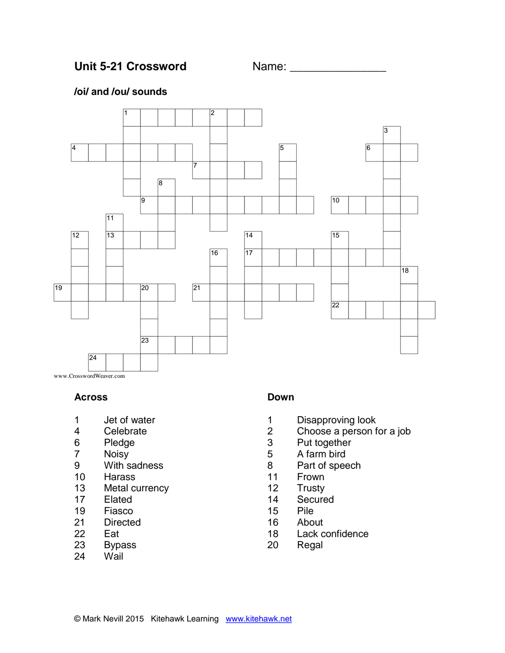## Unit 5-21 Crossword Name:

### **/oi/ and /ou/ sounds**



www.CrosswordWeaver.com

#### **Across**

- Jet of water
- Celebrate
- Pledge
- Noisy
- With sadness
- Harass
- Metal currency
- Elated
- Fiasco
- Directed
- Eat
- Bypass
- Wail

### **Down**

- Disapproving look
- Choose a person for a job
- Put together
- A farm bird
- Part of speech
- Frown
- Trusty
- Secured
- Pile
- About
- Lack confidence
- Regal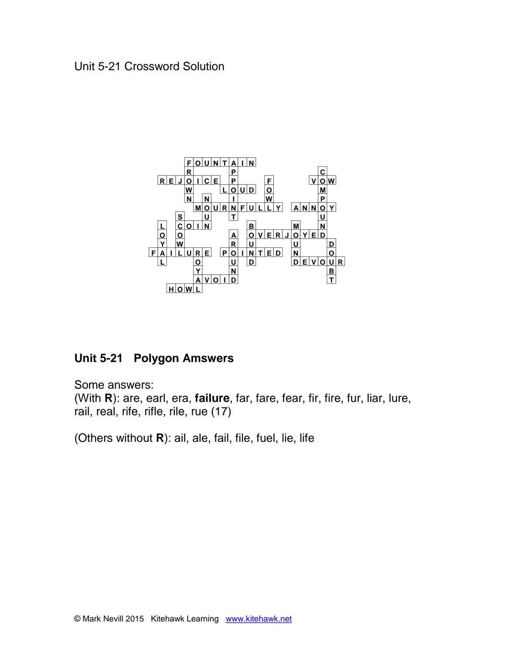

# **Unit 5-21 Polygon Amswers**

Some answers: (With **R**): are, earl, era, **failure**, far, fare, fear, fir, fire, fur, liar, lure, rail, real, rife, rifle, rile, rue (17)

(Others without **R**): ail, ale, fail, file, fuel, lie, life